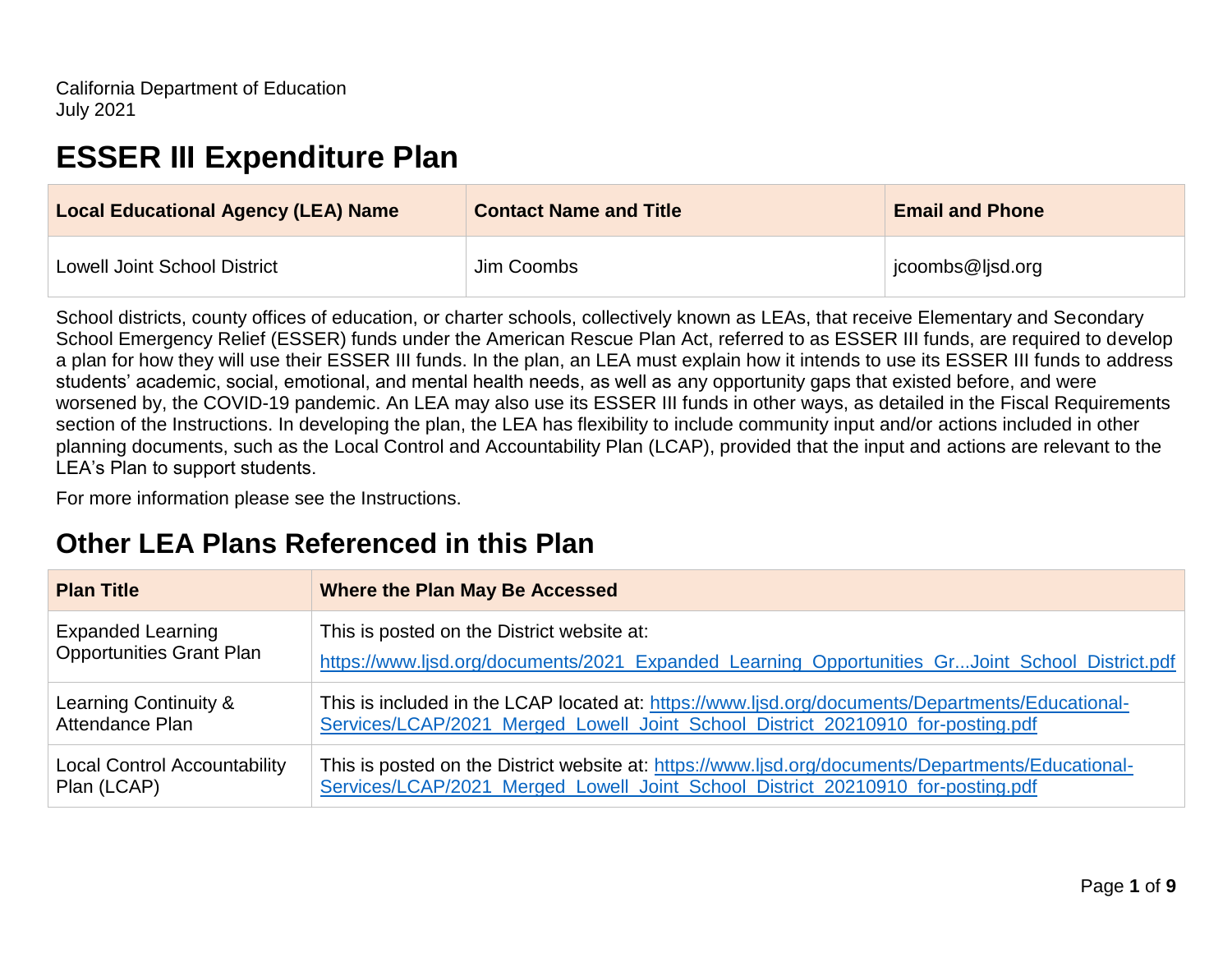# **ESSER III Expenditure Plan**

| <b>Local Educational Agency (LEA) Name</b> | <b>Contact Name and Title</b> | <b>Email and Phone</b> |
|--------------------------------------------|-------------------------------|------------------------|
| <b>Lowell Joint School District</b>        | Jim Coombs                    | jcoombs@ljsd.org       |

School districts, county offices of education, or charter schools, collectively known as LEAs, that receive Elementary and Secondary School Emergency Relief (ESSER) funds under the American Rescue Plan Act, referred to as ESSER III funds, are required to develop a plan for how they will use their ESSER III funds. In the plan, an LEA must explain how it intends to use its ESSER III funds to address students' academic, social, emotional, and mental health needs, as well as any opportunity gaps that existed before, and were worsened by, the COVID-19 pandemic. An LEA may also use its ESSER III funds in other ways, as detailed in the Fiscal Requirements section of the Instructions. In developing the plan, the LEA has flexibility to include community input and/or actions included in other planning documents, such as the Local Control and Accountability Plan (LCAP), provided that the input and actions are relevant to the LEA's Plan to support students.

For more information please see the Instructions.

# **Other LEA Plans Referenced in this Plan**

| <b>Plan Title</b>                   | <b>Where the Plan May Be Accessed</b>                                                              |
|-------------------------------------|----------------------------------------------------------------------------------------------------|
| <b>Expanded Learning</b>            | This is posted on the District website at:                                                         |
| <b>Opportunities Grant Plan</b>     | https://www.ljsd.org/documents/2021_Expanded_Learning_Opportunities_GrJoint_School_District.pdf    |
| Learning Continuity &               | This is included in the LCAP located at: https://www.ljsd.org/documents/Departments/Educational-   |
| Attendance Plan                     | Services/LCAP/2021 Merged Lowell Joint School District 20210910 for-posting.pdf                    |
| <b>Local Control Accountability</b> | This is posted on the District website at: https://www.ljsd.org/documents/Departments/Educational- |
| Plan (LCAP)                         | Services/LCAP/2021 Merged Lowell Joint School District 20210910 for-posting.pdf                    |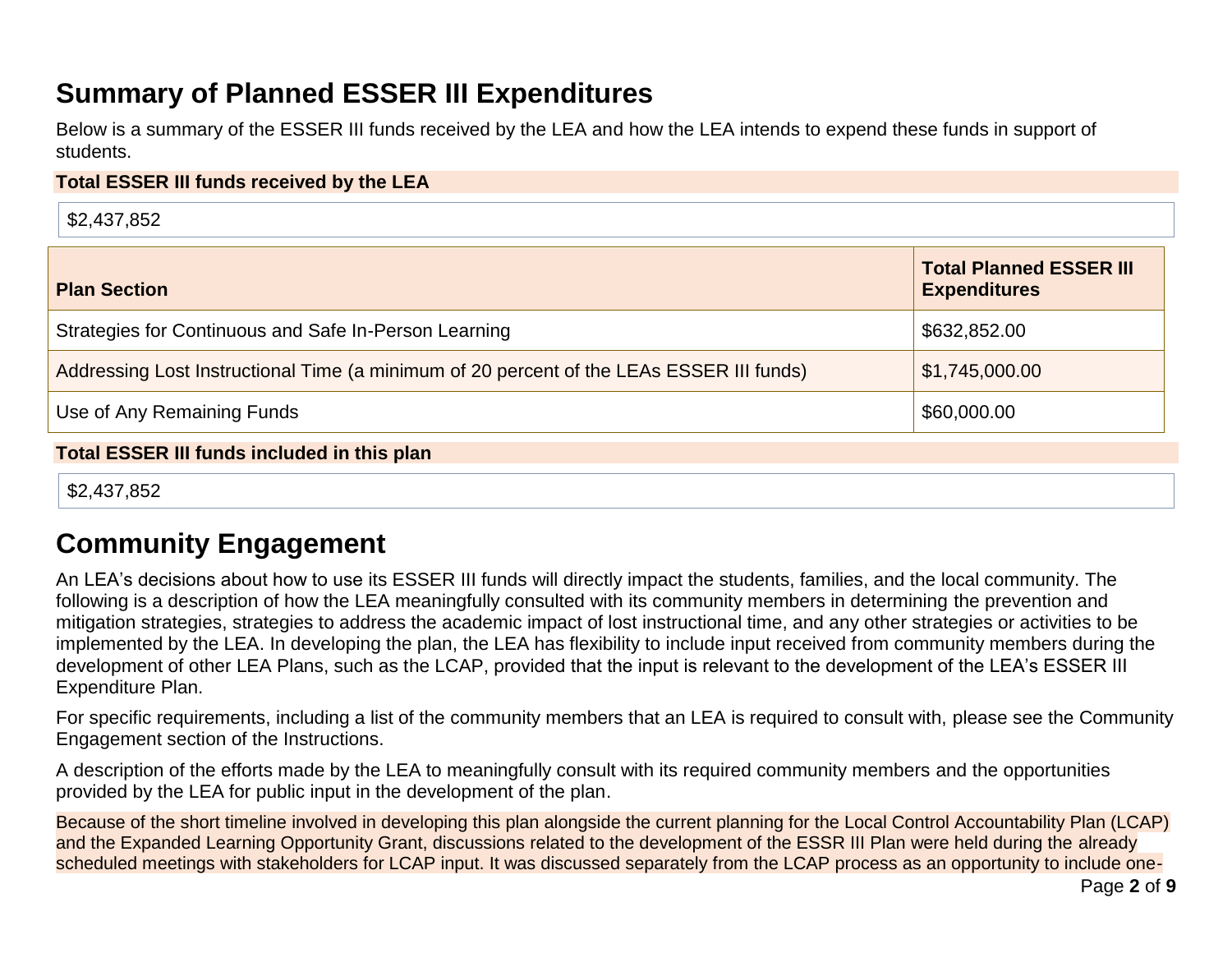# **Summary of Planned ESSER III Expenditures**

Below is a summary of the ESSER III funds received by the LEA and how the LEA intends to expend these funds in support of students.

### **Total ESSER III funds received by the LEA**

\$2,437,852

| <b>Plan Section</b>                                                                      | <b>Total Planned ESSER III</b><br><b>Expenditures</b> |
|------------------------------------------------------------------------------------------|-------------------------------------------------------|
| Strategies for Continuous and Safe In-Person Learning                                    | \$632,852.00                                          |
| Addressing Lost Instructional Time (a minimum of 20 percent of the LEAs ESSER III funds) | \$1,745,000.00                                        |
| Use of Any Remaining Funds                                                               | \$60,000.00                                           |

### **Total ESSER III funds included in this plan**

\$2,437,852

# **Community Engagement**

An LEA's decisions about how to use its ESSER III funds will directly impact the students, families, and the local community. The following is a description of how the LEA meaningfully consulted with its community members in determining the prevention and mitigation strategies, strategies to address the academic impact of lost instructional time, and any other strategies or activities to be implemented by the LEA. In developing the plan, the LEA has flexibility to include input received from community members during the development of other LEA Plans, such as the LCAP, provided that the input is relevant to the development of the LEA's ESSER III Expenditure Plan.

For specific requirements, including a list of the community members that an LEA is required to consult with, please see the Community Engagement section of the Instructions.

A description of the efforts made by the LEA to meaningfully consult with its required community members and the opportunities provided by the LEA for public input in the development of the plan.

Because of the short timeline involved in developing this plan alongside the current planning for the Local Control Accountability Plan (LCAP) and the Expanded Learning Opportunity Grant, discussions related to the development of the ESSR III Plan were held during the already scheduled meetings with stakeholders for LCAP input. It was discussed separately from the LCAP process as an opportunity to include one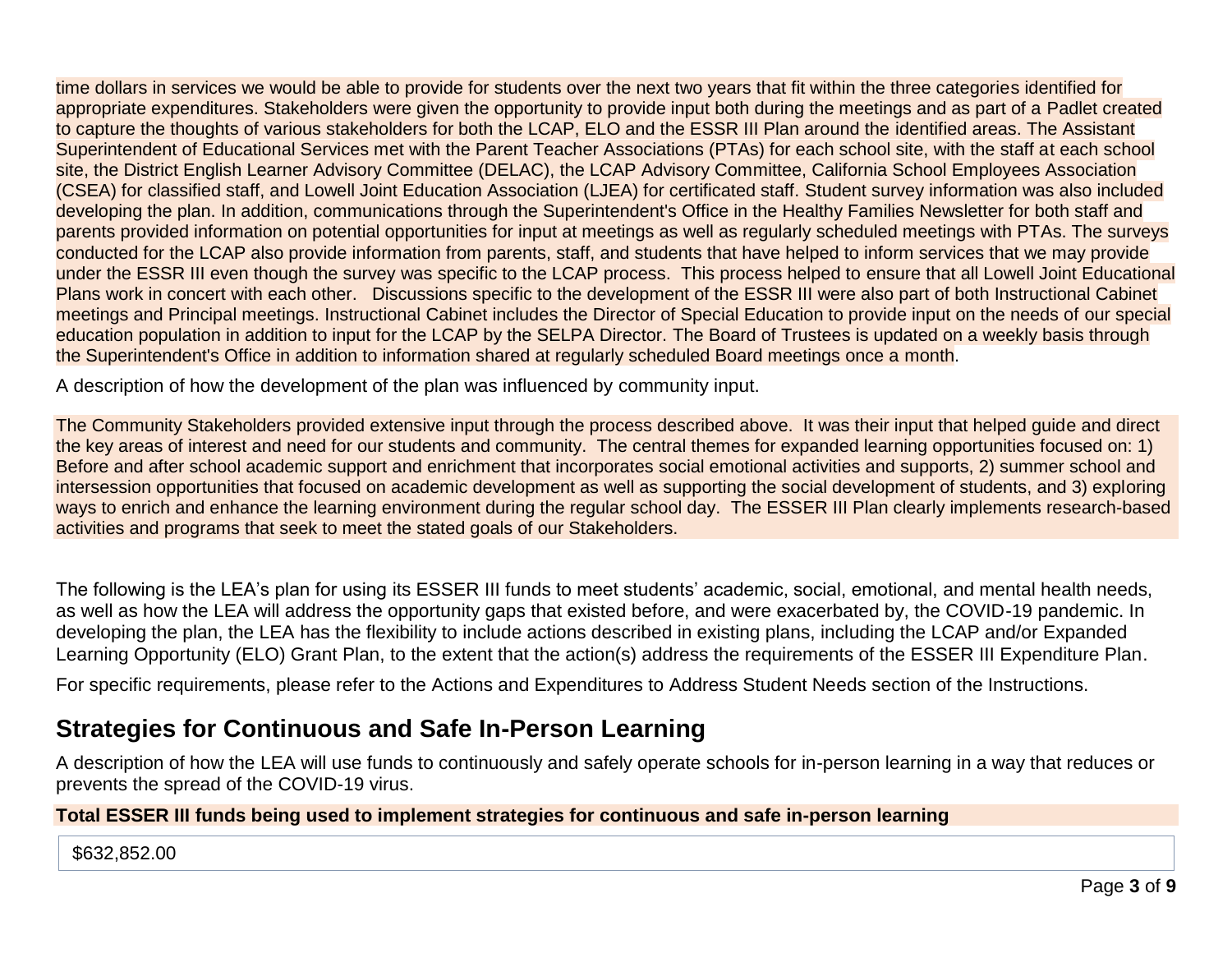time dollars in services we would be able to provide for students over the next two years that fit within the three categories identified for appropriate expenditures. Stakeholders were given the opportunity to provide input both during the meetings and as part of a Padlet created to capture the thoughts of various stakeholders for both the LCAP, ELO and the ESSR III Plan around the identified areas. The Assistant Superintendent of Educational Services met with the Parent Teacher Associations (PTAs) for each school site, with the staff at each school site, the District English Learner Advisory Committee (DELAC), the LCAP Advisory Committee, California School Employees Association (CSEA) for classified staff, and Lowell Joint Education Association (LJEA) for certificated staff. Student survey information was also included developing the plan. In addition, communications through the Superintendent's Office in the Healthy Families Newsletter for both staff and parents provided information on potential opportunities for input at meetings as well as regularly scheduled meetings with PTAs. The surveys conducted for the LCAP also provide information from parents, staff, and students that have helped to inform services that we may provide under the ESSR III even though the survey was specific to the LCAP process. This process helped to ensure that all Lowell Joint Educational Plans work in concert with each other. Discussions specific to the development of the ESSR III were also part of both Instructional Cabinet meetings and Principal meetings. Instructional Cabinet includes the Director of Special Education to provide input on the needs of our special education population in addition to input for the LCAP by the SELPA Director. The Board of Trustees is updated on a weekly basis through the Superintendent's Office in addition to information shared at regularly scheduled Board meetings once a month.

A description of how the development of the plan was influenced by community input.

The Community Stakeholders provided extensive input through the process described above. It was their input that helped guide and direct the key areas of interest and need for our students and community. The central themes for expanded learning opportunities focused on: 1) Before and after school academic support and enrichment that incorporates social emotional activities and supports, 2) summer school and intersession opportunities that focused on academic development as well as supporting the social development of students, and 3) exploring ways to enrich and enhance the learning environment during the regular school day. The ESSER III Plan clearly implements research-based activities and programs that seek to meet the stated goals of our Stakeholders.

The following is the LEA's plan for using its ESSER III funds to meet students' academic, social, emotional, and mental health needs, as well as how the LEA will address the opportunity gaps that existed before, and were exacerbated by, the COVID-19 pandemic. In developing the plan, the LEA has the flexibility to include actions described in existing plans, including the LCAP and/or Expanded Learning Opportunity (ELO) Grant Plan, to the extent that the action(s) address the requirements of the ESSER III Expenditure Plan.

For specific requirements, please refer to the Actions and Expenditures to Address Student Needs section of the Instructions.

## **Strategies for Continuous and Safe In-Person Learning**

A description of how the LEA will use funds to continuously and safely operate schools for in-person learning in a way that reduces or prevents the spread of the COVID-19 virus.

### **Total ESSER III funds being used to implement strategies for continuous and safe in-person learning**

#### \$632,852.00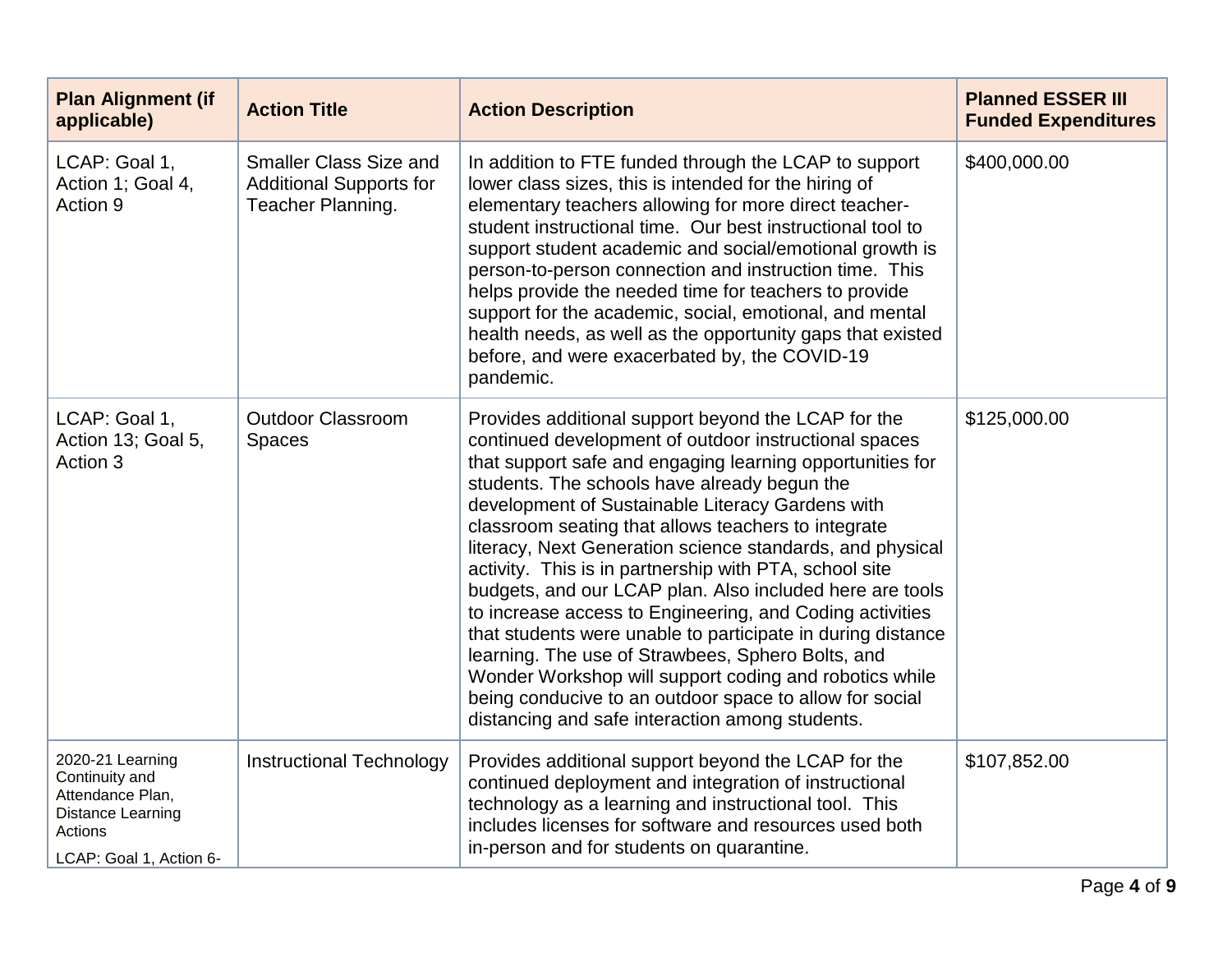| <b>Plan Alignment (if</b><br>applicable)                                                                          | <b>Action Title</b>                                                                  | <b>Action Description</b>                                                                                                                                                                                                                                                                                                                                                                                                                                                                                                                                                                                                                                                                                                                                                                                                                                                       | <b>Planned ESSER III</b><br><b>Funded Expenditures</b> |
|-------------------------------------------------------------------------------------------------------------------|--------------------------------------------------------------------------------------|---------------------------------------------------------------------------------------------------------------------------------------------------------------------------------------------------------------------------------------------------------------------------------------------------------------------------------------------------------------------------------------------------------------------------------------------------------------------------------------------------------------------------------------------------------------------------------------------------------------------------------------------------------------------------------------------------------------------------------------------------------------------------------------------------------------------------------------------------------------------------------|--------------------------------------------------------|
| LCAP: Goal 1,<br>Action 1; Goal 4,<br>Action 9                                                                    | <b>Smaller Class Size and</b><br><b>Additional Supports for</b><br>Teacher Planning. | In addition to FTE funded through the LCAP to support<br>lower class sizes, this is intended for the hiring of<br>elementary teachers allowing for more direct teacher-<br>student instructional time. Our best instructional tool to<br>support student academic and social/emotional growth is<br>person-to-person connection and instruction time. This<br>helps provide the needed time for teachers to provide<br>support for the academic, social, emotional, and mental<br>health needs, as well as the opportunity gaps that existed<br>before, and were exacerbated by, the COVID-19<br>pandemic.                                                                                                                                                                                                                                                                      | \$400,000.00                                           |
| LCAP: Goal 1,<br>Action 13; Goal 5,<br>Action 3                                                                   | <b>Outdoor Classroom</b><br><b>Spaces</b>                                            | Provides additional support beyond the LCAP for the<br>continued development of outdoor instructional spaces<br>that support safe and engaging learning opportunities for<br>students. The schools have already begun the<br>development of Sustainable Literacy Gardens with<br>classroom seating that allows teachers to integrate<br>literacy, Next Generation science standards, and physical<br>activity. This is in partnership with PTA, school site<br>budgets, and our LCAP plan. Also included here are tools<br>to increase access to Engineering, and Coding activities<br>that students were unable to participate in during distance<br>learning. The use of Strawbees, Sphero Bolts, and<br>Wonder Workshop will support coding and robotics while<br>being conducive to an outdoor space to allow for social<br>distancing and safe interaction among students. | \$125,000.00                                           |
| 2020-21 Learning<br>Continuity and<br>Attendance Plan,<br>Distance Learning<br>Actions<br>LCAP: Goal 1, Action 6- | <b>Instructional Technology</b>                                                      | Provides additional support beyond the LCAP for the<br>continued deployment and integration of instructional<br>technology as a learning and instructional tool. This<br>includes licenses for software and resources used both<br>in-person and for students on quarantine.                                                                                                                                                                                                                                                                                                                                                                                                                                                                                                                                                                                                    | \$107,852.00                                           |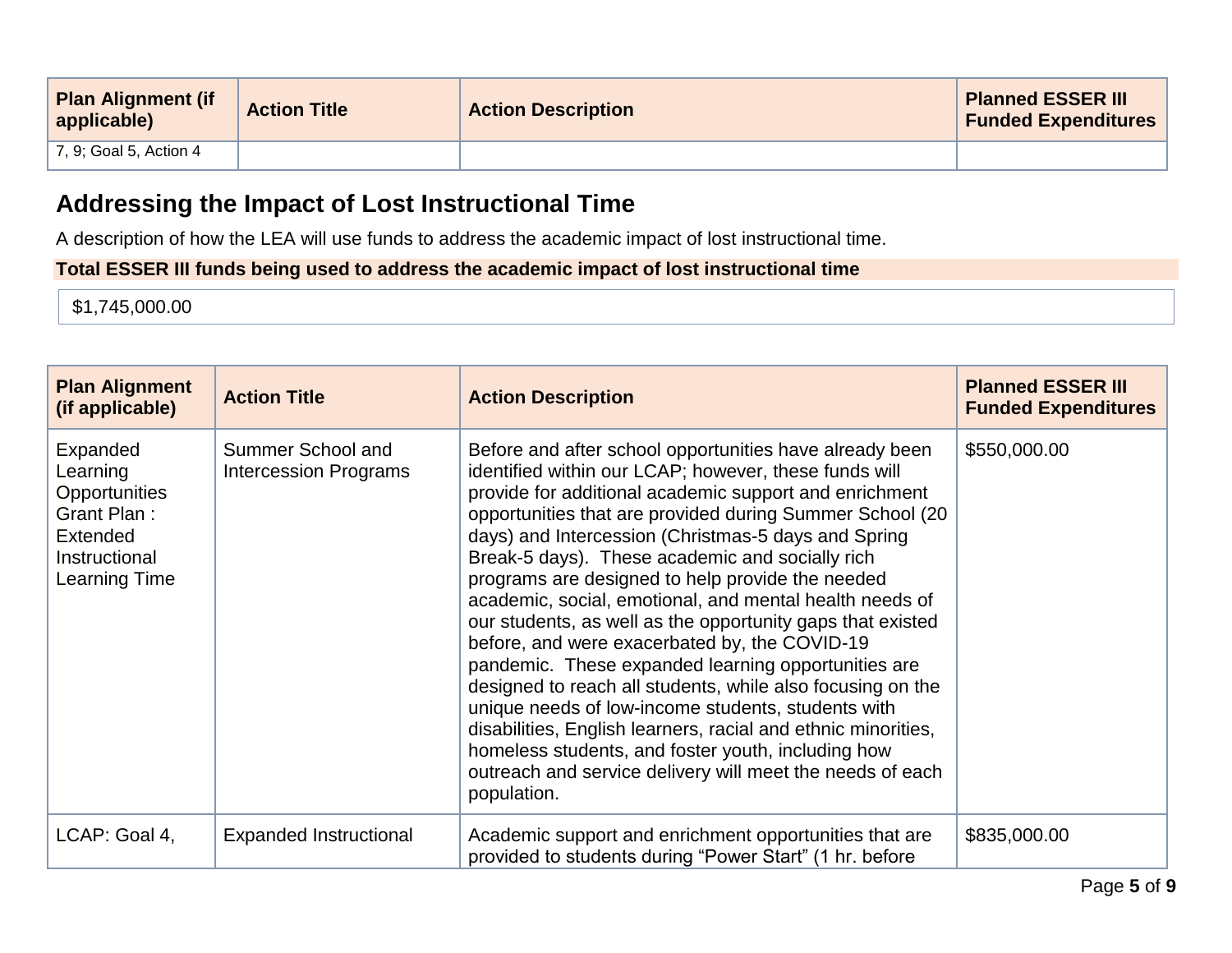| <b>Plan Alignment (if</b><br>applicable) | <b>Action Title</b> | <b>Action Description</b> | <b>Planned ESSER III</b><br><b>Funded Expenditures</b> |
|------------------------------------------|---------------------|---------------------------|--------------------------------------------------------|
| $\perp$ 7, 9; Goal 5, Action 4           |                     |                           |                                                        |

# **Addressing the Impact of Lost Instructional Time**

A description of how the LEA will use funds to address the academic impact of lost instructional time.

### **Total ESSER III funds being used to address the academic impact of lost instructional time**

\$1,745,000.00

| <b>Plan Alignment</b><br>(if applicable)                                                                  | <b>Action Title</b>                               | <b>Action Description</b>                                                                                                                                                                                                                                                                                                                                                                                                                                                                                                                                                                                                                                                                                                                                                                                                                                                                                                                                    | <b>Planned ESSER III</b><br><b>Funded Expenditures</b> |
|-----------------------------------------------------------------------------------------------------------|---------------------------------------------------|--------------------------------------------------------------------------------------------------------------------------------------------------------------------------------------------------------------------------------------------------------------------------------------------------------------------------------------------------------------------------------------------------------------------------------------------------------------------------------------------------------------------------------------------------------------------------------------------------------------------------------------------------------------------------------------------------------------------------------------------------------------------------------------------------------------------------------------------------------------------------------------------------------------------------------------------------------------|--------------------------------------------------------|
| Expanded<br>Learning<br>Opportunities<br>Grant Plan:<br><b>Extended</b><br>Instructional<br>Learning Time | Summer School and<br><b>Intercession Programs</b> | Before and after school opportunities have already been<br>identified within our LCAP; however, these funds will<br>provide for additional academic support and enrichment<br>opportunities that are provided during Summer School (20<br>days) and Intercession (Christmas-5 days and Spring<br>Break-5 days). These academic and socially rich<br>programs are designed to help provide the needed<br>academic, social, emotional, and mental health needs of<br>our students, as well as the opportunity gaps that existed<br>before, and were exacerbated by, the COVID-19<br>pandemic. These expanded learning opportunities are<br>designed to reach all students, while also focusing on the<br>unique needs of low-income students, students with<br>disabilities, English learners, racial and ethnic minorities,<br>homeless students, and foster youth, including how<br>outreach and service delivery will meet the needs of each<br>population. | \$550,000.00                                           |
| LCAP: Goal 4,                                                                                             | <b>Expanded Instructional</b>                     | Academic support and enrichment opportunities that are<br>provided to students during "Power Start" (1 hr. before                                                                                                                                                                                                                                                                                                                                                                                                                                                                                                                                                                                                                                                                                                                                                                                                                                            | \$835,000.00                                           |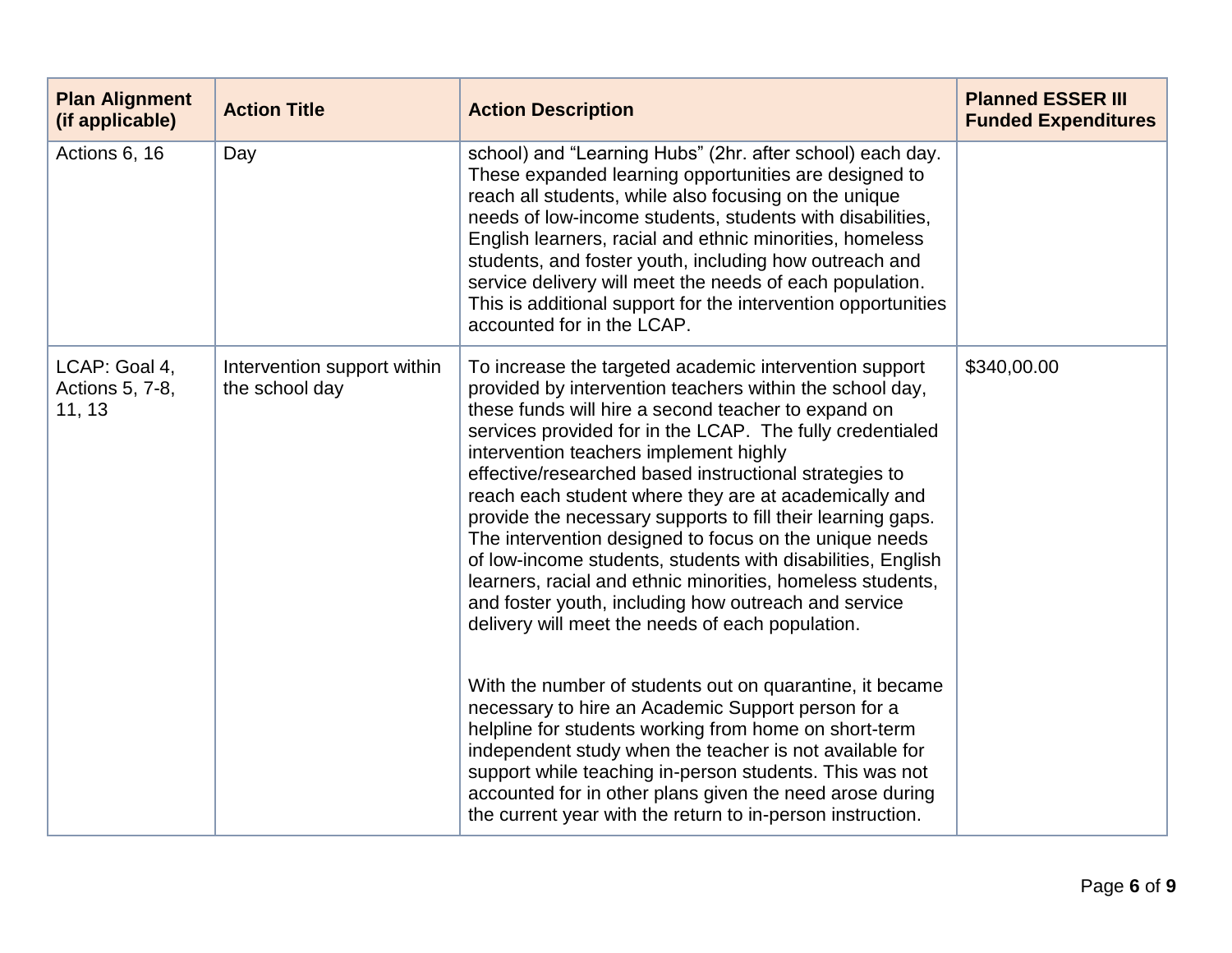| <b>Plan Alignment</b><br>(if applicable)   | <b>Action Title</b>                           | <b>Action Description</b>                                                                                                                                                                                                                                                                                                                                                                                                                                                                                                                                                                                                                                                                                                                                                                                                                                                                                                                                                                                   | <b>Planned ESSER III</b><br><b>Funded Expenditures</b> |
|--------------------------------------------|-----------------------------------------------|-------------------------------------------------------------------------------------------------------------------------------------------------------------------------------------------------------------------------------------------------------------------------------------------------------------------------------------------------------------------------------------------------------------------------------------------------------------------------------------------------------------------------------------------------------------------------------------------------------------------------------------------------------------------------------------------------------------------------------------------------------------------------------------------------------------------------------------------------------------------------------------------------------------------------------------------------------------------------------------------------------------|--------------------------------------------------------|
| Actions 6, 16                              | Day                                           | school) and "Learning Hubs" (2hr. after school) each day.<br>These expanded learning opportunities are designed to<br>reach all students, while also focusing on the unique<br>needs of low-income students, students with disabilities,<br>English learners, racial and ethnic minorities, homeless<br>students, and foster youth, including how outreach and<br>service delivery will meet the needs of each population.<br>This is additional support for the intervention opportunities<br>accounted for in the LCAP.                                                                                                                                                                                                                                                                                                                                                                                                                                                                                   |                                                        |
| LCAP: Goal 4,<br>Actions 5, 7-8,<br>11, 13 | Intervention support within<br>the school day | To increase the targeted academic intervention support<br>provided by intervention teachers within the school day,<br>these funds will hire a second teacher to expand on<br>services provided for in the LCAP. The fully credentialed<br>intervention teachers implement highly<br>effective/researched based instructional strategies to<br>reach each student where they are at academically and<br>provide the necessary supports to fill their learning gaps.<br>The intervention designed to focus on the unique needs<br>of low-income students, students with disabilities, English<br>learners, racial and ethnic minorities, homeless students,<br>and foster youth, including how outreach and service<br>delivery will meet the needs of each population.<br>With the number of students out on quarantine, it became<br>necessary to hire an Academic Support person for a<br>helpline for students working from home on short-term<br>independent study when the teacher is not available for | \$340,00.00                                            |
|                                            |                                               | support while teaching in-person students. This was not<br>accounted for in other plans given the need arose during<br>the current year with the return to in-person instruction.                                                                                                                                                                                                                                                                                                                                                                                                                                                                                                                                                                                                                                                                                                                                                                                                                           |                                                        |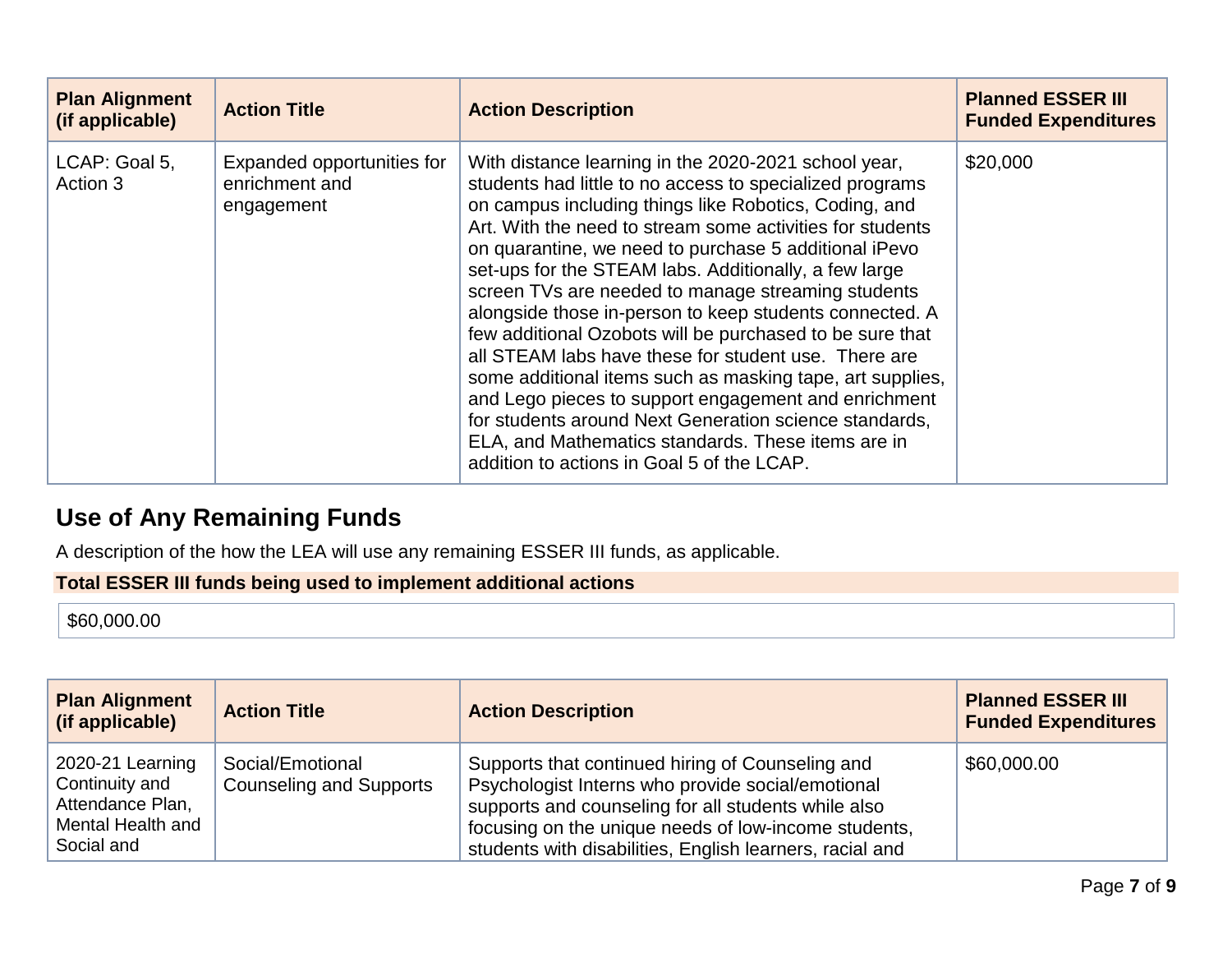| <b>Plan Alignment</b><br>(if applicable) | <b>Action Title</b>                                        | <b>Action Description</b>                                                                                                                                                                                                                                                                                                                                                                                                                                                                                                                                                                                                                                                                                                                                                                                                                                                        | <b>Planned ESSER III</b><br><b>Funded Expenditures</b> |
|------------------------------------------|------------------------------------------------------------|----------------------------------------------------------------------------------------------------------------------------------------------------------------------------------------------------------------------------------------------------------------------------------------------------------------------------------------------------------------------------------------------------------------------------------------------------------------------------------------------------------------------------------------------------------------------------------------------------------------------------------------------------------------------------------------------------------------------------------------------------------------------------------------------------------------------------------------------------------------------------------|--------------------------------------------------------|
| LCAP: Goal 5,<br>Action 3                | Expanded opportunities for<br>enrichment and<br>engagement | With distance learning in the 2020-2021 school year,<br>students had little to no access to specialized programs<br>on campus including things like Robotics, Coding, and<br>Art. With the need to stream some activities for students<br>on quarantine, we need to purchase 5 additional iPevo<br>set-ups for the STEAM labs. Additionally, a few large<br>screen TVs are needed to manage streaming students<br>alongside those in-person to keep students connected. A<br>few additional Ozobots will be purchased to be sure that<br>all STEAM labs have these for student use. There are<br>some additional items such as masking tape, art supplies,<br>and Lego pieces to support engagement and enrichment<br>for students around Next Generation science standards,<br>ELA, and Mathematics standards. These items are in<br>addition to actions in Goal 5 of the LCAP. | \$20,000                                               |

# **Use of Any Remaining Funds**

A description of the how the LEA will use any remaining ESSER III funds, as applicable.

**Total ESSER III funds being used to implement additional actions**

\$60,000.00

| <b>Plan Alignment</b><br>(if applicable)                                                  | <b>Action Title</b>                                | <b>Action Description</b>                                                                                                                                                                                                                                                        | <b>Planned ESSER III</b><br><b>Funded Expenditures</b> |
|-------------------------------------------------------------------------------------------|----------------------------------------------------|----------------------------------------------------------------------------------------------------------------------------------------------------------------------------------------------------------------------------------------------------------------------------------|--------------------------------------------------------|
| 2020-21 Learning<br>Continuity and<br>Attendance Plan,<br>Mental Health and<br>Social and | Social/Emotional<br><b>Counseling and Supports</b> | Supports that continued hiring of Counseling and<br>Psychologist Interns who provide social/emotional<br>supports and counseling for all students while also<br>focusing on the unique needs of low-income students,<br>students with disabilities, English learners, racial and | \$60,000.00                                            |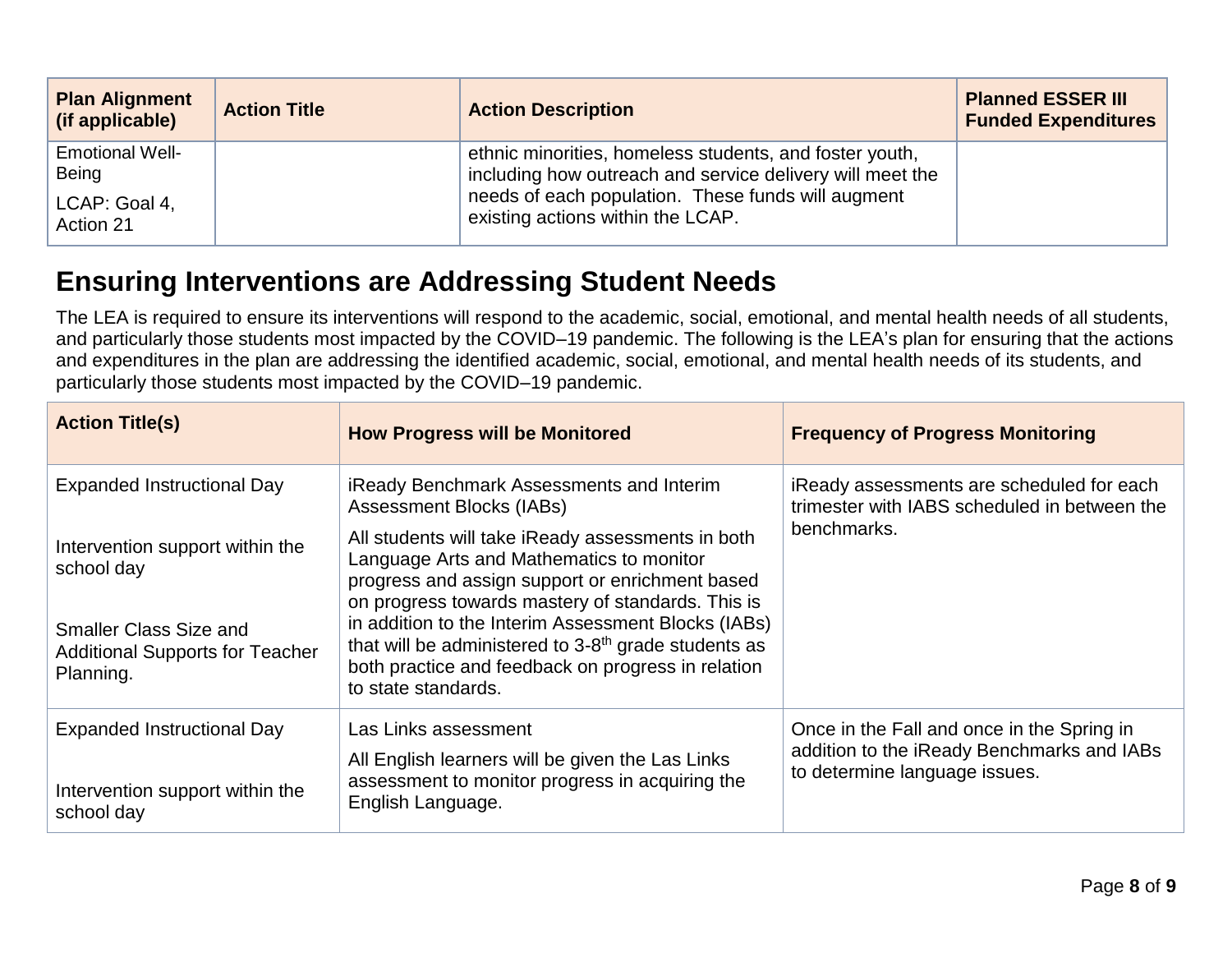| <b>Plan Alignment</b><br>(if applicable) | <b>Action Title</b> | <b>Action Description</b>                                                                                            | <b>Planned ESSER III</b><br><b>Funded Expenditures</b> |
|------------------------------------------|---------------------|----------------------------------------------------------------------------------------------------------------------|--------------------------------------------------------|
| <b>Emotional Well-</b><br>Being          |                     | ethnic minorities, homeless students, and foster youth,<br>including how outreach and service delivery will meet the |                                                        |
| LCAP: Goal 4,<br>Action 21               |                     | needs of each population. These funds will augment<br>existing actions within the LCAP.                              |                                                        |

# **Ensuring Interventions are Addressing Student Needs**

The LEA is required to ensure its interventions will respond to the academic, social, emotional, and mental health needs of all students, and particularly those students most impacted by the COVID–19 pandemic. The following is the LEA's plan for ensuring that the actions and expenditures in the plan are addressing the identified academic, social, emotional, and mental health needs of its students, and particularly those students most impacted by the COVID–19 pandemic.

| <b>Action Title(s)</b>                                                               | <b>How Progress will be Monitored</b>                                                                                                                                                                 | <b>Frequency of Progress Monitoring</b>                                                                                   |
|--------------------------------------------------------------------------------------|-------------------------------------------------------------------------------------------------------------------------------------------------------------------------------------------------------|---------------------------------------------------------------------------------------------------------------------------|
| <b>Expanded Instructional Day</b>                                                    | <b>iReady Benchmark Assessments and Interim</b><br>Assessment Blocks (IABs)                                                                                                                           | iReady assessments are scheduled for each<br>trimester with IABS scheduled in between the                                 |
| Intervention support within the<br>school day                                        | All students will take iReady assessments in both<br>Language Arts and Mathematics to monitor<br>progress and assign support or enrichment based<br>on progress towards mastery of standards. This is | benchmarks.                                                                                                               |
| <b>Smaller Class Size and</b><br><b>Additional Supports for Teacher</b><br>Planning. | in addition to the Interim Assessment Blocks (IABs)<br>that will be administered to 3-8 <sup>th</sup> grade students as<br>both practice and feedback on progress in relation<br>to state standards.  |                                                                                                                           |
| <b>Expanded Instructional Day</b><br>Intervention support within the<br>school day   | Las Links assessment<br>All English learners will be given the Las Links<br>assessment to monitor progress in acquiring the<br>English Language.                                                      | Once in the Fall and once in the Spring in<br>addition to the iReady Benchmarks and IABs<br>to determine language issues. |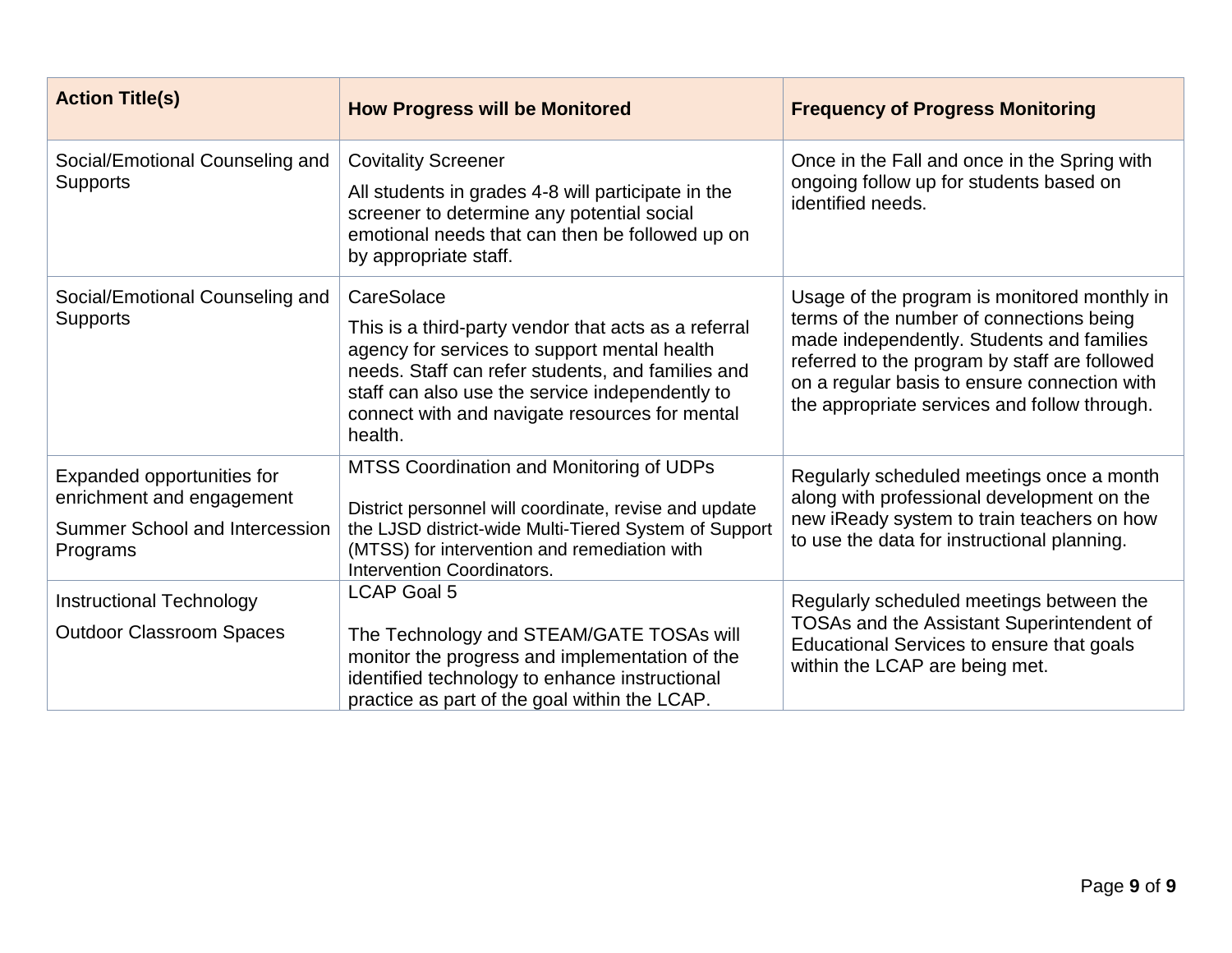| <b>Action Title(s)</b>                                                                                | <b>How Progress will be Monitored</b>                                                                                                                                                                                                                                                   | <b>Frequency of Progress Monitoring</b>                                                                                                                                                                                                                                                |
|-------------------------------------------------------------------------------------------------------|-----------------------------------------------------------------------------------------------------------------------------------------------------------------------------------------------------------------------------------------------------------------------------------------|----------------------------------------------------------------------------------------------------------------------------------------------------------------------------------------------------------------------------------------------------------------------------------------|
| Social/Emotional Counseling and<br><b>Supports</b>                                                    | <b>Covitality Screener</b><br>All students in grades 4-8 will participate in the<br>screener to determine any potential social<br>emotional needs that can then be followed up on<br>by appropriate staff.                                                                              | Once in the Fall and once in the Spring with<br>ongoing follow up for students based on<br>identified needs.                                                                                                                                                                           |
| Social/Emotional Counseling and<br><b>Supports</b>                                                    | CareSolace<br>This is a third-party vendor that acts as a referral<br>agency for services to support mental health<br>needs. Staff can refer students, and families and<br>staff can also use the service independently to<br>connect with and navigate resources for mental<br>health. | Usage of the program is monitored monthly in<br>terms of the number of connections being<br>made independently. Students and families<br>referred to the program by staff are followed<br>on a regular basis to ensure connection with<br>the appropriate services and follow through. |
| Expanded opportunities for<br>enrichment and engagement<br>Summer School and Intercession<br>Programs | MTSS Coordination and Monitoring of UDPs<br>District personnel will coordinate, revise and update<br>the LJSD district-wide Multi-Tiered System of Support<br>(MTSS) for intervention and remediation with<br>Intervention Coordinators.                                                | Regularly scheduled meetings once a month<br>along with professional development on the<br>new iReady system to train teachers on how<br>to use the data for instructional planning.                                                                                                   |
| <b>Instructional Technology</b><br><b>Outdoor Classroom Spaces</b>                                    | <b>LCAP Goal 5</b><br>The Technology and STEAM/GATE TOSAs will<br>monitor the progress and implementation of the<br>identified technology to enhance instructional<br>practice as part of the goal within the LCAP.                                                                     | Regularly scheduled meetings between the<br>TOSAs and the Assistant Superintendent of<br>Educational Services to ensure that goals<br>within the LCAP are being met.                                                                                                                   |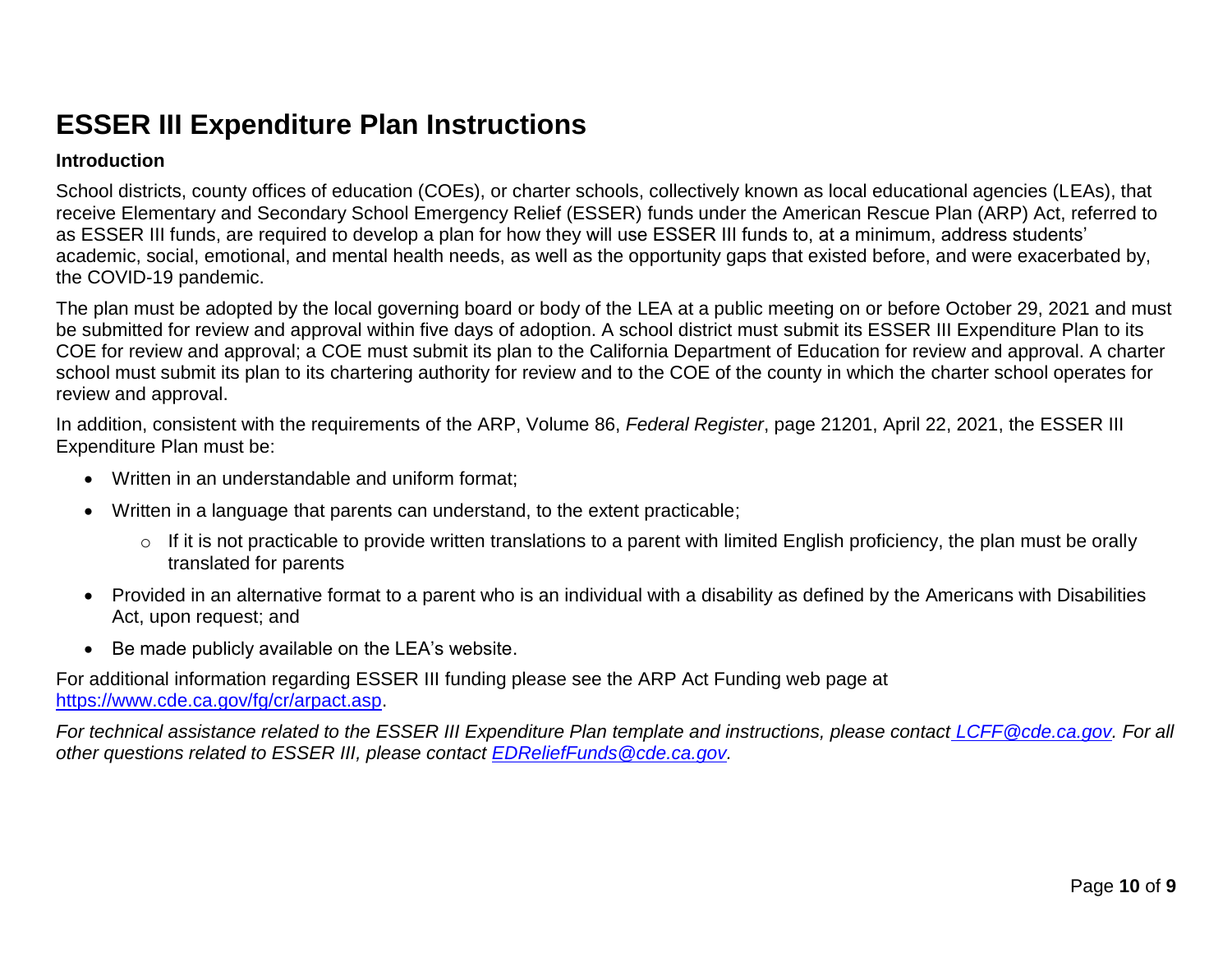# **ESSER III Expenditure Plan Instructions**

### **Introduction**

School districts, county offices of education (COEs), or charter schools, collectively known as local educational agencies (LEAs), that receive Elementary and Secondary School Emergency Relief (ESSER) funds under the American Rescue Plan (ARP) Act, referred to as ESSER III funds, are required to develop a plan for how they will use ESSER III funds to, at a minimum, address students' academic, social, emotional, and mental health needs, as well as the opportunity gaps that existed before, and were exacerbated by, the COVID-19 pandemic.

The plan must be adopted by the local governing board or body of the LEA at a public meeting on or before October 29, 2021 and must be submitted for review and approval within five days of adoption. A school district must submit its ESSER III Expenditure Plan to its COE for review and approval; a COE must submit its plan to the California Department of Education for review and approval. A charter school must submit its plan to its chartering authority for review and to the COE of the county in which the charter school operates for review and approval.

In addition, consistent with the requirements of the ARP, Volume 86, *Federal Register*, page 21201, April 22, 2021, the ESSER III Expenditure Plan must be:

- Written in an understandable and uniform format;
- Written in a language that parents can understand, to the extent practicable;
	- $\circ$  If it is not practicable to provide written translations to a parent with limited English proficiency, the plan must be orally translated for parents
- Provided in an alternative format to a parent who is an individual with a disability as defined by the Americans with Disabilities Act, upon request; and
- Be made publicly available on the LEA's website.

For additional information regarding ESSER III funding please see the ARP Act Funding web page at [https://www.cde.ca.gov/fg/cr/arpact.asp.](https://www.cde.ca.gov/fg/cr/arpact.asp)

*For technical assistance related to the ESSER III Expenditure Plan template and instructions, please contact [LCFF@cde.ca.gov.](mailto:LCFF@cde.ca.gov) For all other questions related to ESSER III, please contact [EDReliefFunds@cde.ca.gov.](mailto:EDReliefFunds@cde.ca.gov)*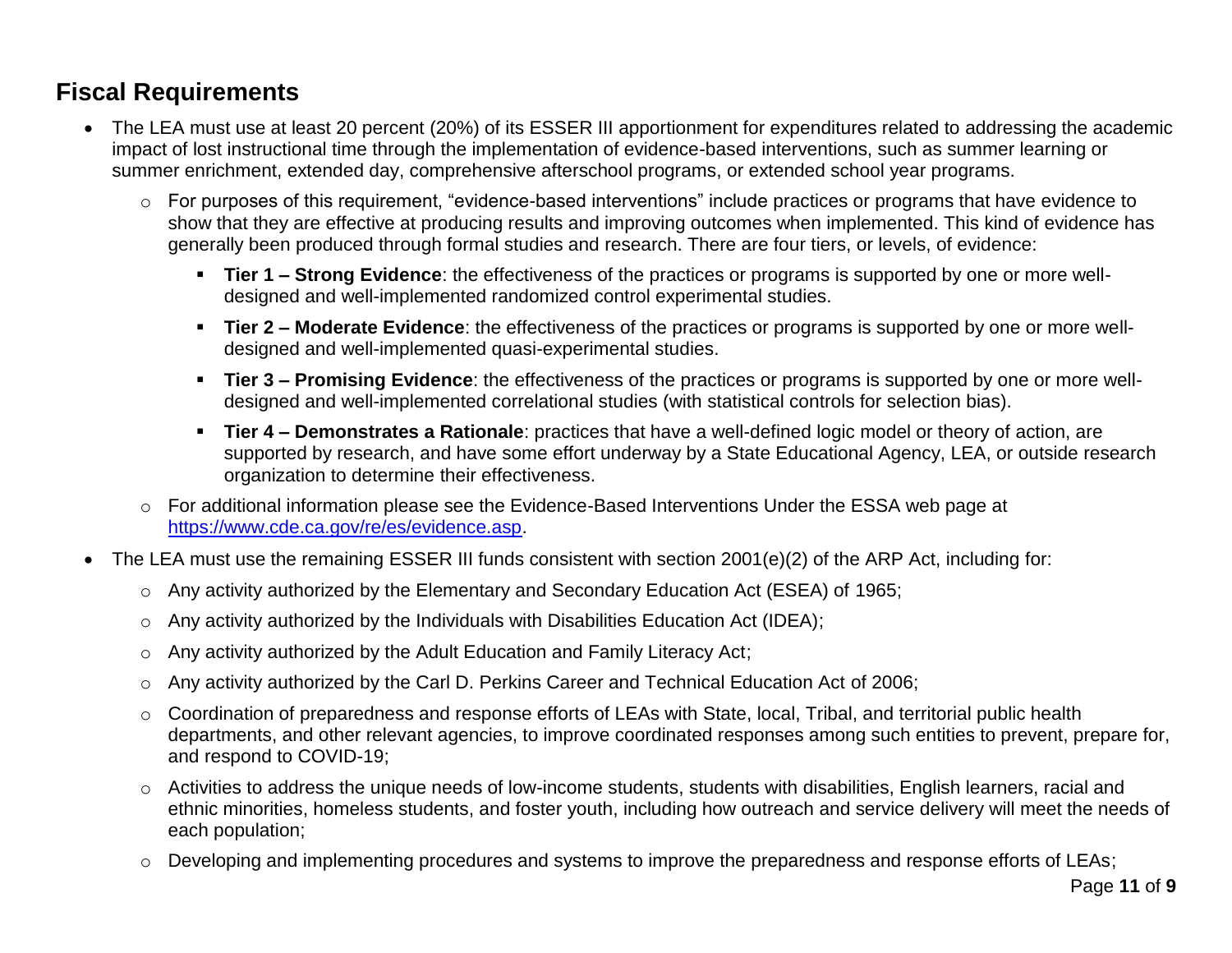### **Fiscal Requirements**

- The LEA must use at least 20 percent (20%) of its ESSER III apportionment for expenditures related to addressing the academic impact of lost instructional time through the implementation of evidence-based interventions, such as summer learning or summer enrichment, extended day, comprehensive afterschool programs, or extended school year programs.
	- o For purposes of this requirement, "evidence-based interventions" include practices or programs that have evidence to show that they are effective at producing results and improving outcomes when implemented. This kind of evidence has generally been produced through formal studies and research. There are four tiers, or levels, of evidence:
		- **Tier 1 – Strong Evidence**: the effectiveness of the practices or programs is supported by one or more welldesigned and well-implemented randomized control experimental studies.
		- **Tier 2 – Moderate Evidence**: the effectiveness of the practices or programs is supported by one or more welldesigned and well-implemented quasi-experimental studies.
		- **Tier 3 – Promising Evidence**: the effectiveness of the practices or programs is supported by one or more welldesigned and well-implemented correlational studies (with statistical controls for selection bias).
		- **Tier 4 – Demonstrates a Rationale**: practices that have a well-defined logic model or theory of action, are supported by research, and have some effort underway by a State Educational Agency, LEA, or outside research organization to determine their effectiveness.
	- o For additional information please see the Evidence-Based Interventions Under the ESSA web page at [https://www.cde.ca.gov/re/es/evidence.asp.](https://www.cde.ca.gov/re/es/evidence.asp)
- The LEA must use the remaining ESSER III funds consistent with section 2001(e)(2) of the ARP Act, including for:
	- o Any activity authorized by the Elementary and Secondary Education Act (ESEA) of 1965;
	- o Any activity authorized by the Individuals with Disabilities Education Act (IDEA);
	- o Any activity authorized by the Adult Education and Family Literacy Act;
	- o Any activity authorized by the Carl D. Perkins Career and Technical Education Act of 2006;
	- o Coordination of preparedness and response efforts of LEAs with State, local, Tribal, and territorial public health departments, and other relevant agencies, to improve coordinated responses among such entities to prevent, prepare for, and respond to COVID-19;
	- o Activities to address the unique needs of low-income students, students with disabilities, English learners, racial and ethnic minorities, homeless students, and foster youth, including how outreach and service delivery will meet the needs of each population;
	- o Developing and implementing procedures and systems to improve the preparedness and response efforts of LEAs;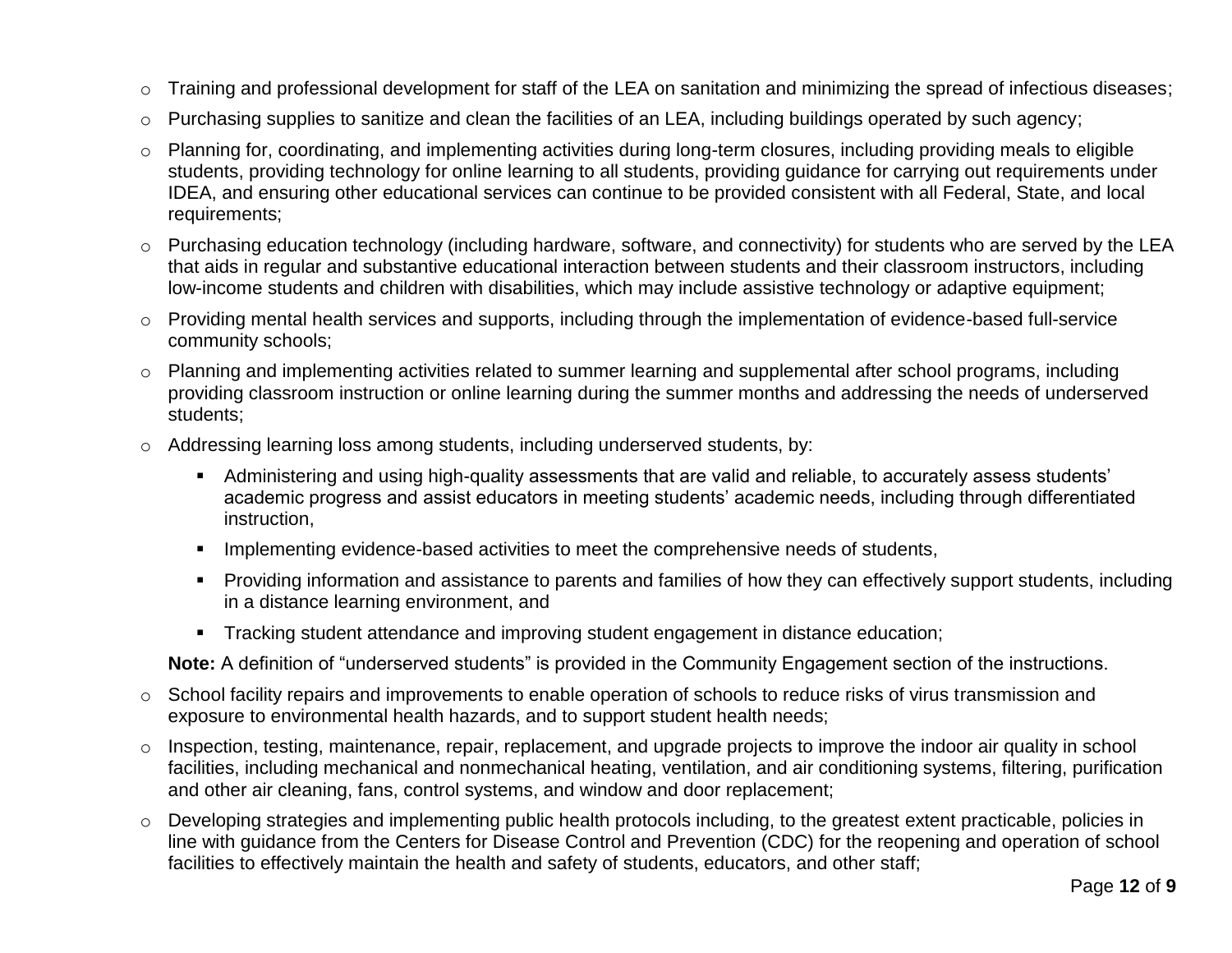- o Training and professional development for staff of the LEA on sanitation and minimizing the spread of infectious diseases;
- o Purchasing supplies to sanitize and clean the facilities of an LEA, including buildings operated by such agency;
- o Planning for, coordinating, and implementing activities during long-term closures, including providing meals to eligible students, providing technology for online learning to all students, providing guidance for carrying out requirements under IDEA, and ensuring other educational services can continue to be provided consistent with all Federal, State, and local requirements;
- o Purchasing education technology (including hardware, software, and connectivity) for students who are served by the LEA that aids in regular and substantive educational interaction between students and their classroom instructors, including low-income students and children with disabilities, which may include assistive technology or adaptive equipment;
- o Providing mental health services and supports, including through the implementation of evidence-based full-service community schools;
- o Planning and implementing activities related to summer learning and supplemental after school programs, including providing classroom instruction or online learning during the summer months and addressing the needs of underserved students;
- o Addressing learning loss among students, including underserved students, by:
	- Administering and using high-quality assessments that are valid and reliable, to accurately assess students' academic progress and assist educators in meeting students' academic needs, including through differentiated instruction,
	- **IMPLEMENTER IMPLE THE VIOLET IM** implementing evidence-based activities to meet the comprehensive needs of students,
	- Providing information and assistance to parents and families of how they can effectively support students, including in a distance learning environment, and
	- **Tracking student attendance and improving student engagement in distance education;**

**Note:** A definition of "underserved students" is provided in the Community Engagement section of the instructions.

- o School facility repairs and improvements to enable operation of schools to reduce risks of virus transmission and exposure to environmental health hazards, and to support student health needs;
- o Inspection, testing, maintenance, repair, replacement, and upgrade projects to improve the indoor air quality in school facilities, including mechanical and nonmechanical heating, ventilation, and air conditioning systems, filtering, purification and other air cleaning, fans, control systems, and window and door replacement;
- $\circ$  Developing strategies and implementing public health protocols including, to the greatest extent practicable, policies in line with guidance from the Centers for Disease Control and Prevention (CDC) for the reopening and operation of school facilities to effectively maintain the health and safety of students, educators, and other staff;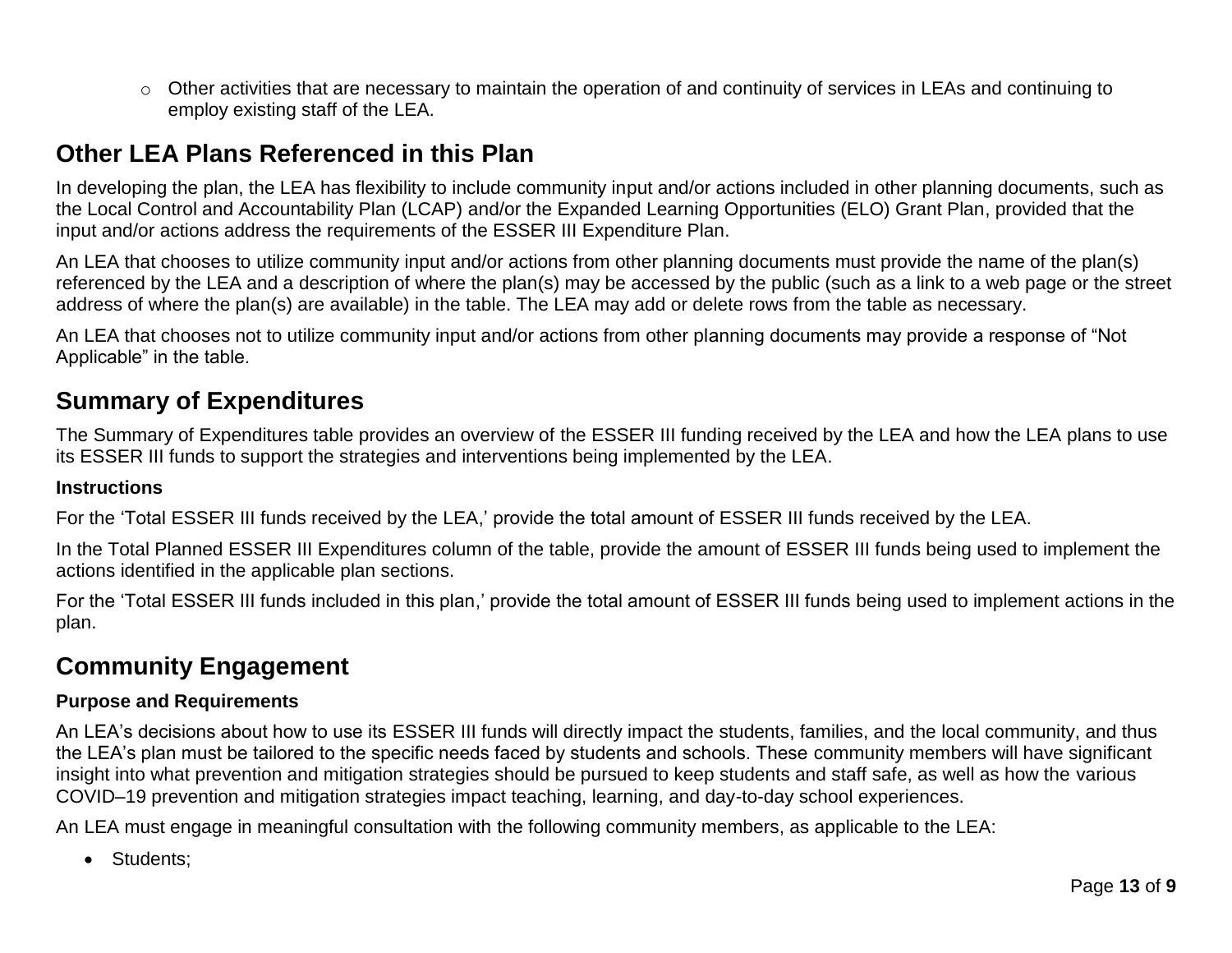o Other activities that are necessary to maintain the operation of and continuity of services in LEAs and continuing to employ existing staff of the LEA.

### **Other LEA Plans Referenced in this Plan**

In developing the plan, the LEA has flexibility to include community input and/or actions included in other planning documents, such as the Local Control and Accountability Plan (LCAP) and/or the Expanded Learning Opportunities (ELO) Grant Plan, provided that the input and/or actions address the requirements of the ESSER III Expenditure Plan.

An LEA that chooses to utilize community input and/or actions from other planning documents must provide the name of the plan(s) referenced by the LEA and a description of where the plan(s) may be accessed by the public (such as a link to a web page or the street address of where the plan(s) are available) in the table. The LEA may add or delete rows from the table as necessary.

An LEA that chooses not to utilize community input and/or actions from other planning documents may provide a response of "Not Applicable" in the table.

### **Summary of Expenditures**

The Summary of Expenditures table provides an overview of the ESSER III funding received by the LEA and how the LEA plans to use its ESSER III funds to support the strategies and interventions being implemented by the LEA.

#### **Instructions**

For the 'Total ESSER III funds received by the LEA,' provide the total amount of ESSER III funds received by the LEA.

In the Total Planned ESSER III Expenditures column of the table, provide the amount of ESSER III funds being used to implement the actions identified in the applicable plan sections.

For the 'Total ESSER III funds included in this plan,' provide the total amount of ESSER III funds being used to implement actions in the plan.

# **Community Engagement**

### **Purpose and Requirements**

An LEA's decisions about how to use its ESSER III funds will directly impact the students, families, and the local community, and thus the LEA's plan must be tailored to the specific needs faced by students and schools. These community members will have significant insight into what prevention and mitigation strategies should be pursued to keep students and staff safe, as well as how the various COVID–19 prevention and mitigation strategies impact teaching, learning, and day-to-day school experiences.

An LEA must engage in meaningful consultation with the following community members, as applicable to the LEA:

• Students: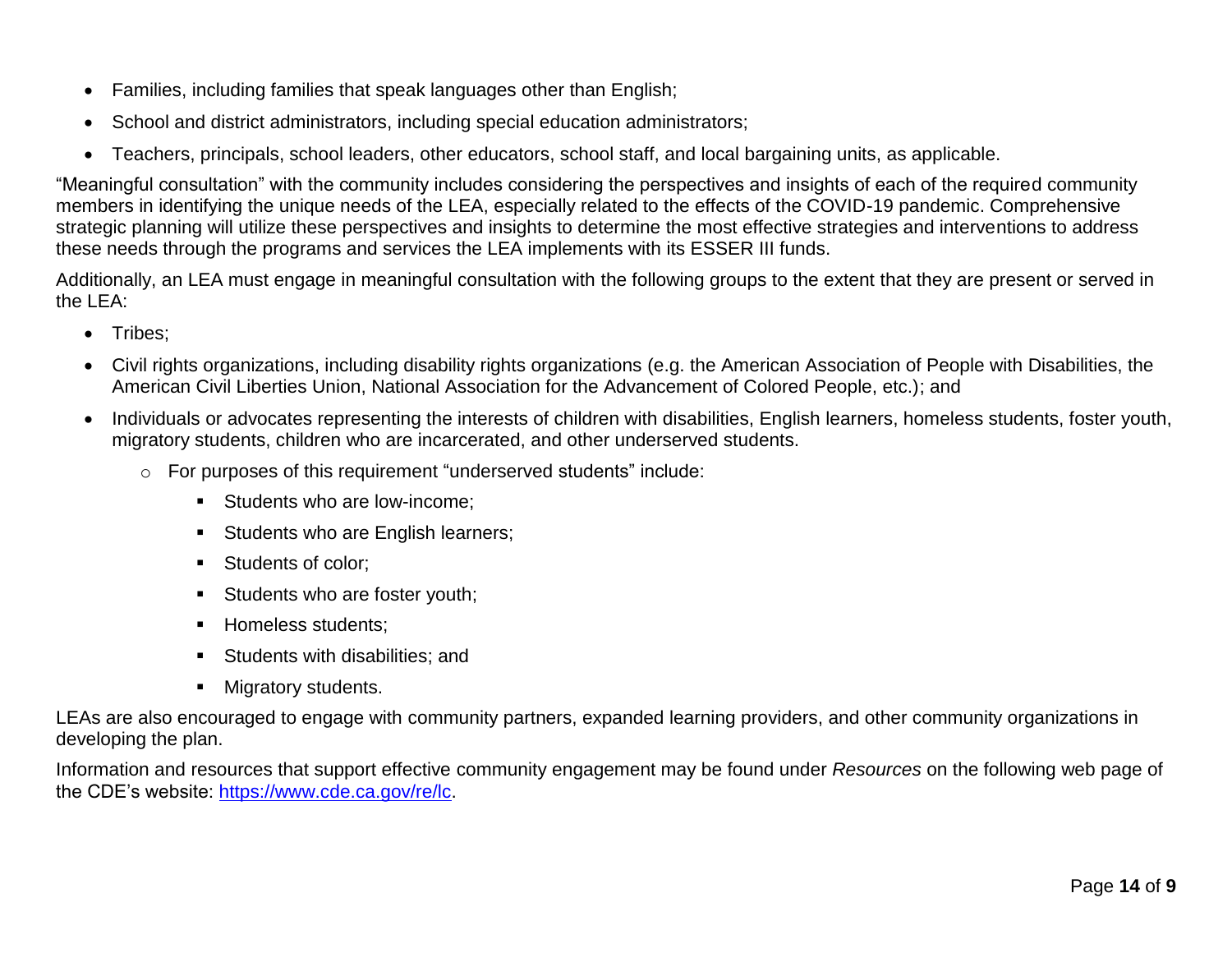- Families, including families that speak languages other than English;
- School and district administrators, including special education administrators;
- Teachers, principals, school leaders, other educators, school staff, and local bargaining units, as applicable.

"Meaningful consultation" with the community includes considering the perspectives and insights of each of the required community members in identifying the unique needs of the LEA, especially related to the effects of the COVID-19 pandemic. Comprehensive strategic planning will utilize these perspectives and insights to determine the most effective strategies and interventions to address these needs through the programs and services the LEA implements with its ESSER III funds.

Additionally, an LEA must engage in meaningful consultation with the following groups to the extent that they are present or served in the LEA:

- Tribes:
- Civil rights organizations, including disability rights organizations (e.g. the American Association of People with Disabilities, the American Civil Liberties Union, National Association for the Advancement of Colored People, etc.); and
- Individuals or advocates representing the interests of children with disabilities, English learners, homeless students, foster youth, migratory students, children who are incarcerated, and other underserved students.
	- o For purposes of this requirement "underserved students" include:
		- **Students who are low-income:**
		- **Students who are English learners;**
		- Students of color;
		- Students who are foster youth;
		- **Homeless students:**
		- Students with disabilities; and
		- **Migratory students.**

LEAs are also encouraged to engage with community partners, expanded learning providers, and other community organizations in developing the plan.

Information and resources that support effective community engagement may be found under *Resources* on the following web page of the CDE's website: [https://www.cde.ca.gov/re/lc.](https://www.cde.ca.gov/re/lc)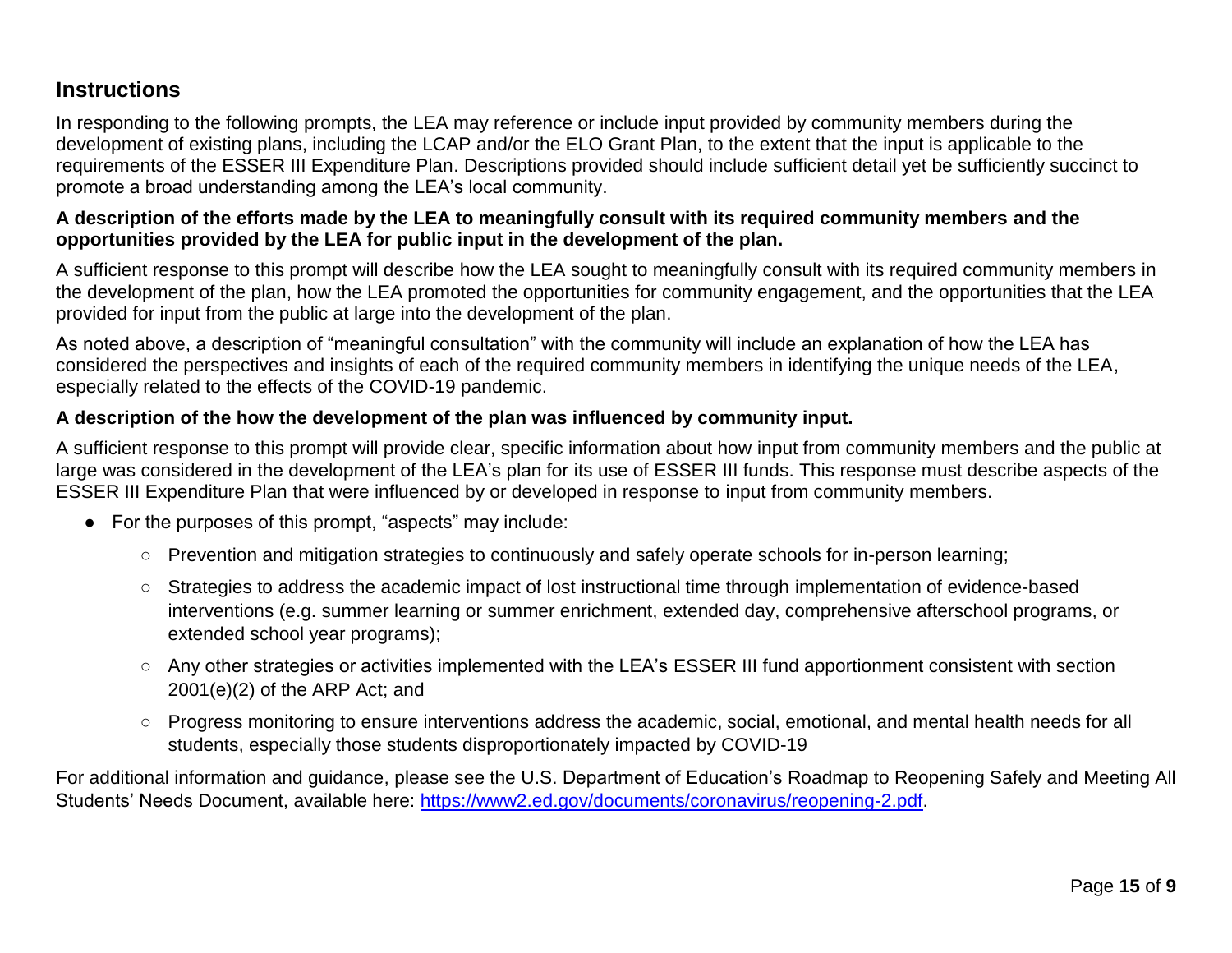### **Instructions**

In responding to the following prompts, the LEA may reference or include input provided by community members during the development of existing plans, including the LCAP and/or the ELO Grant Plan, to the extent that the input is applicable to the requirements of the ESSER III Expenditure Plan. Descriptions provided should include sufficient detail yet be sufficiently succinct to promote a broad understanding among the LEA's local community.

### **A description of the efforts made by the LEA to meaningfully consult with its required community members and the opportunities provided by the LEA for public input in the development of the plan.**

A sufficient response to this prompt will describe how the LEA sought to meaningfully consult with its required community members in the development of the plan, how the LEA promoted the opportunities for community engagement, and the opportunities that the LEA provided for input from the public at large into the development of the plan.

As noted above, a description of "meaningful consultation" with the community will include an explanation of how the LEA has considered the perspectives and insights of each of the required community members in identifying the unique needs of the LEA, especially related to the effects of the COVID-19 pandemic.

### **A description of the how the development of the plan was influenced by community input.**

A sufficient response to this prompt will provide clear, specific information about how input from community members and the public at large was considered in the development of the LEA's plan for its use of ESSER III funds. This response must describe aspects of the ESSER III Expenditure Plan that were influenced by or developed in response to input from community members.

- For the purposes of this prompt, "aspects" may include:
	- Prevention and mitigation strategies to continuously and safely operate schools for in-person learning;
	- Strategies to address the academic impact of lost instructional time through implementation of evidence-based interventions (e.g. summer learning or summer enrichment, extended day, comprehensive afterschool programs, or extended school year programs);
	- Any other strategies or activities implemented with the LEA's ESSER III fund apportionment consistent with section 2001(e)(2) of the ARP Act; and
	- Progress monitoring to ensure interventions address the academic, social, emotional, and mental health needs for all students, especially those students disproportionately impacted by COVID-19

For additional information and guidance, please see the U.S. Department of Education's Roadmap to Reopening Safely and Meeting All Students' Needs Document, available here: [https://www2.ed.gov/documents/coronavirus/reopening-2.pdf.](https://www2.ed.gov/documents/coronavirus/reopening-2.pdf)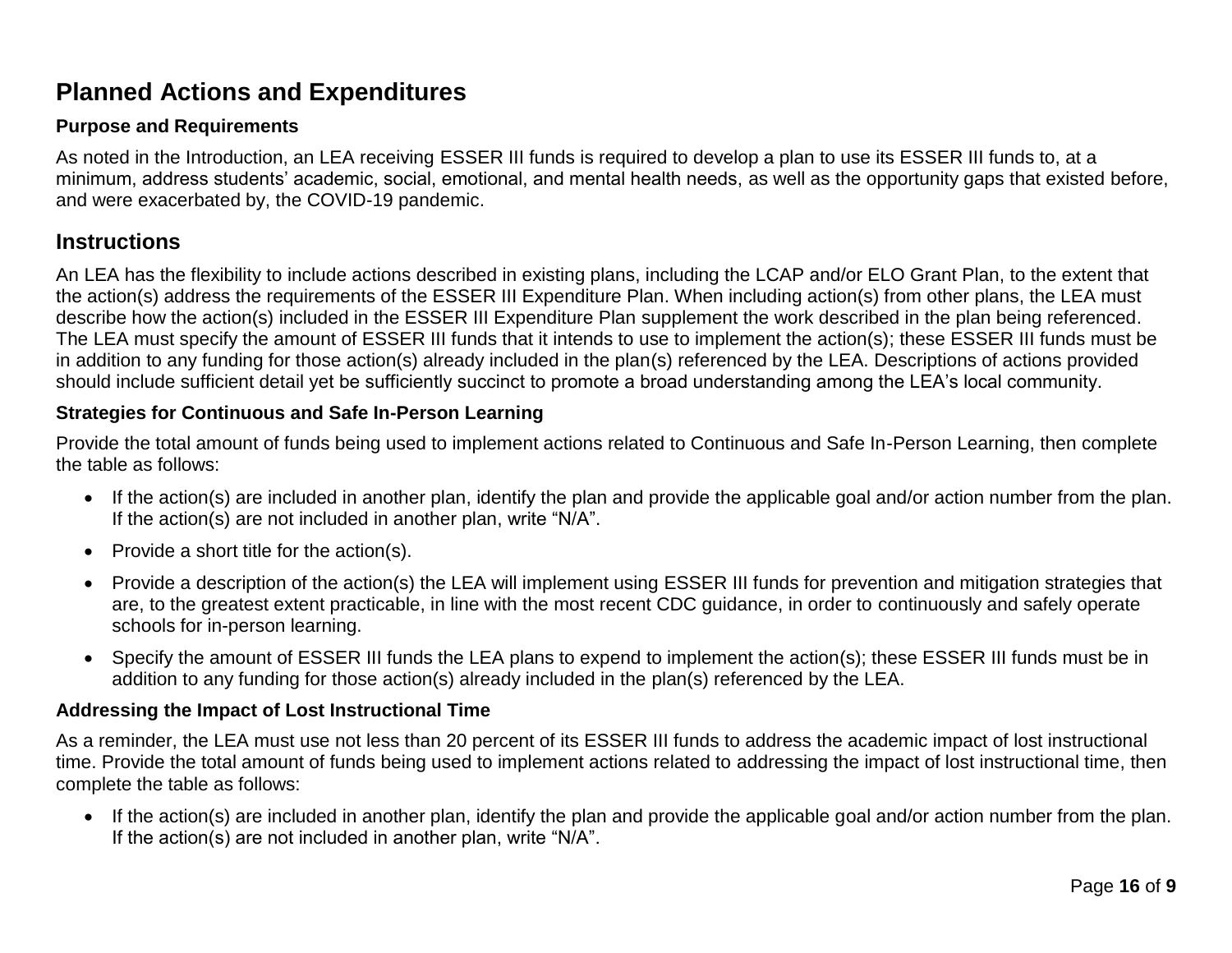## **Planned Actions and Expenditures**

### **Purpose and Requirements**

As noted in the Introduction, an LEA receiving ESSER III funds is required to develop a plan to use its ESSER III funds to, at a minimum, address students' academic, social, emotional, and mental health needs, as well as the opportunity gaps that existed before, and were exacerbated by, the COVID-19 pandemic.

### **Instructions**

An LEA has the flexibility to include actions described in existing plans, including the LCAP and/or ELO Grant Plan, to the extent that the action(s) address the requirements of the ESSER III Expenditure Plan. When including action(s) from other plans, the LEA must describe how the action(s) included in the ESSER III Expenditure Plan supplement the work described in the plan being referenced. The LEA must specify the amount of ESSER III funds that it intends to use to implement the action(s); these ESSER III funds must be in addition to any funding for those action(s) already included in the plan(s) referenced by the LEA. Descriptions of actions provided should include sufficient detail yet be sufficiently succinct to promote a broad understanding among the LEA's local community.

### **Strategies for Continuous and Safe In-Person Learning**

Provide the total amount of funds being used to implement actions related to Continuous and Safe In-Person Learning, then complete the table as follows:

- If the action(s) are included in another plan, identify the plan and provide the applicable goal and/or action number from the plan. If the action(s) are not included in another plan, write "N/A".
- Provide a short title for the  $action(s)$ .
- Provide a description of the action(s) the LEA will implement using ESSER III funds for prevention and mitigation strategies that are, to the greatest extent practicable, in line with the most recent CDC guidance, in order to continuously and safely operate schools for in-person learning.
- Specify the amount of ESSER III funds the LEA plans to expend to implement the action(s); these ESSER III funds must be in addition to any funding for those action(s) already included in the plan(s) referenced by the LEA.

### **Addressing the Impact of Lost Instructional Time**

As a reminder, the LEA must use not less than 20 percent of its ESSER III funds to address the academic impact of lost instructional time. Provide the total amount of funds being used to implement actions related to addressing the impact of lost instructional time, then complete the table as follows:

 If the action(s) are included in another plan, identify the plan and provide the applicable goal and/or action number from the plan. If the action(s) are not included in another plan, write "N/A".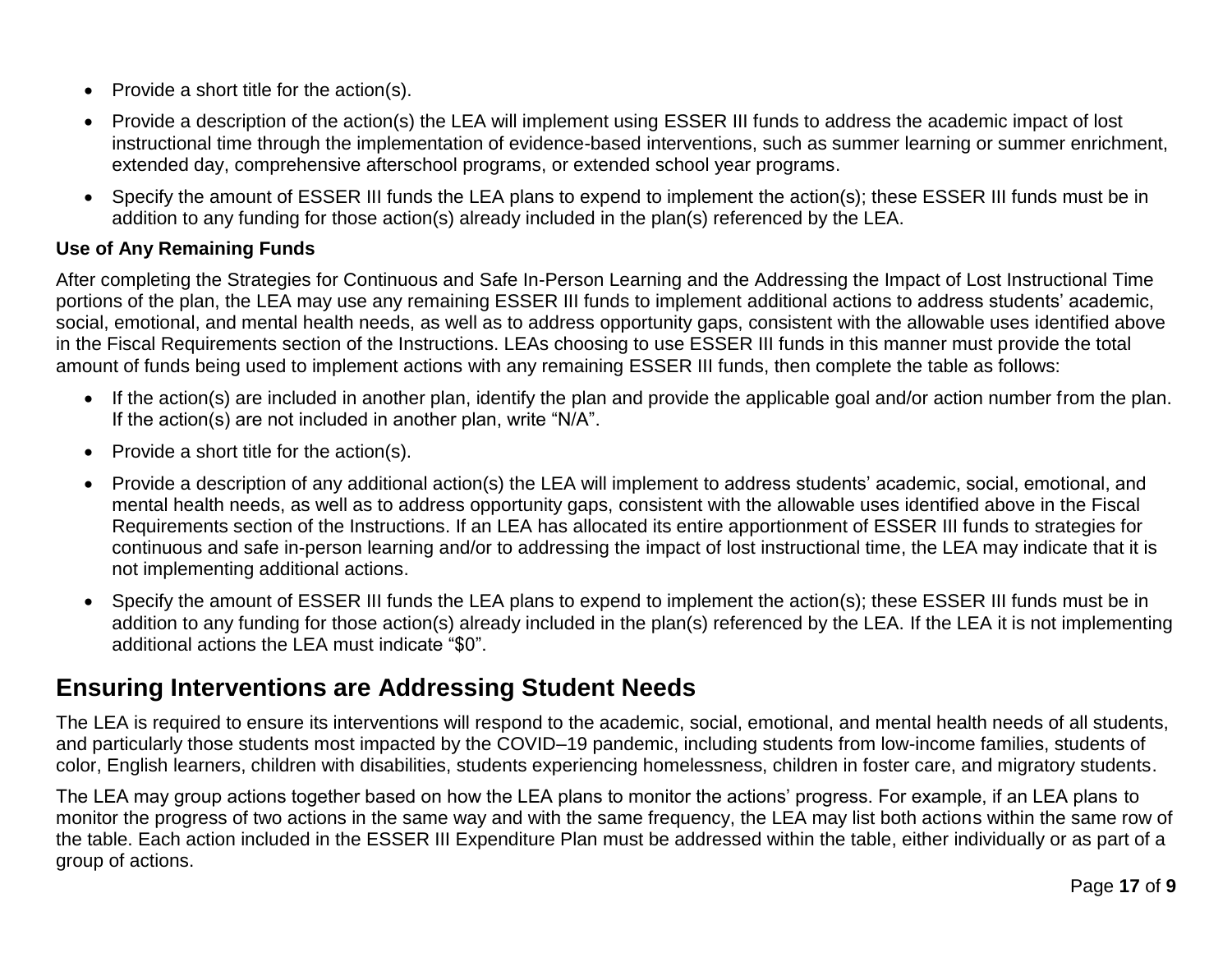- $\bullet$  Provide a short title for the action(s).
- Provide a description of the action(s) the LEA will implement using ESSER III funds to address the academic impact of lost instructional time through the implementation of evidence-based interventions, such as summer learning or summer enrichment, extended day, comprehensive afterschool programs, or extended school year programs.
- Specify the amount of ESSER III funds the LEA plans to expend to implement the action(s); these ESSER III funds must be in addition to any funding for those action(s) already included in the plan(s) referenced by the LEA.

### **Use of Any Remaining Funds**

After completing the Strategies for Continuous and Safe In-Person Learning and the Addressing the Impact of Lost Instructional Time portions of the plan, the LEA may use any remaining ESSER III funds to implement additional actions to address students' academic, social, emotional, and mental health needs, as well as to address opportunity gaps, consistent with the allowable uses identified above in the Fiscal Requirements section of the Instructions. LEAs choosing to use ESSER III funds in this manner must provide the total amount of funds being used to implement actions with any remaining ESSER III funds, then complete the table as follows:

- If the action(s) are included in another plan, identify the plan and provide the applicable goal and/or action number from the plan. If the action(s) are not included in another plan, write "N/A".
- $\bullet$  Provide a short title for the action(s).
- Provide a description of any additional action(s) the LEA will implement to address students' academic, social, emotional, and mental health needs, as well as to address opportunity gaps, consistent with the allowable uses identified above in the Fiscal Requirements section of the Instructions. If an LEA has allocated its entire apportionment of ESSER III funds to strategies for continuous and safe in-person learning and/or to addressing the impact of lost instructional time, the LEA may indicate that it is not implementing additional actions.
- Specify the amount of ESSER III funds the LEA plans to expend to implement the action(s); these ESSER III funds must be in addition to any funding for those action(s) already included in the plan(s) referenced by the LEA. If the LEA it is not implementing additional actions the LEA must indicate "\$0".

## **Ensuring Interventions are Addressing Student Needs**

The LEA is required to ensure its interventions will respond to the academic, social, emotional, and mental health needs of all students, and particularly those students most impacted by the COVID–19 pandemic, including students from low-income families, students of color, English learners, children with disabilities, students experiencing homelessness, children in foster care, and migratory students.

The LEA may group actions together based on how the LEA plans to monitor the actions' progress. For example, if an LEA plans to monitor the progress of two actions in the same way and with the same frequency, the LEA may list both actions within the same row of the table. Each action included in the ESSER III Expenditure Plan must be addressed within the table, either individually or as part of a group of actions.